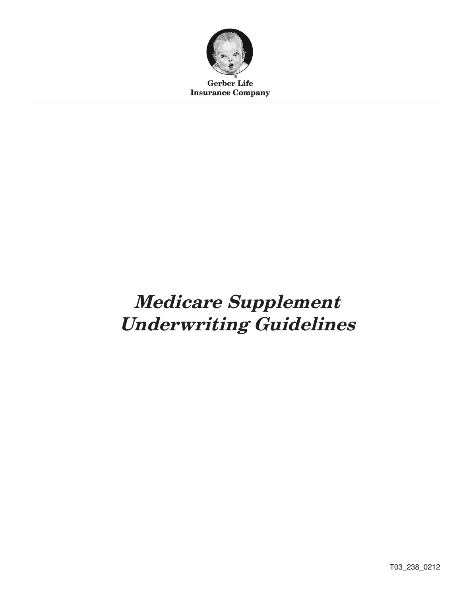

**Gerber Life Insurance Company** 

# Medicare Supplement Underwriting Guidelines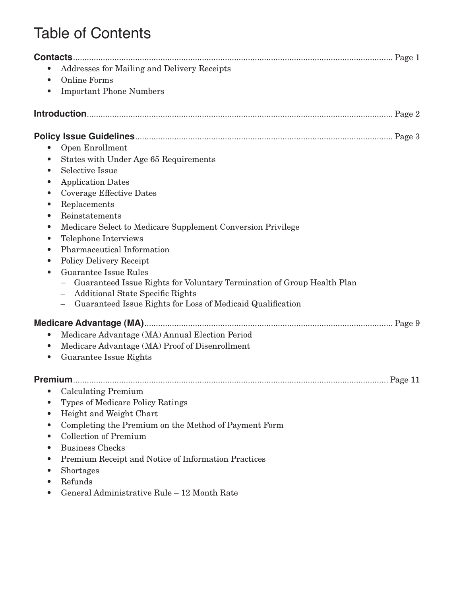# Table of Contents

|                                     | Addresses for Mailing and Delivery Receipts                            |  |
|-------------------------------------|------------------------------------------------------------------------|--|
| <b>Online Forms</b><br>$\bullet$    |                                                                        |  |
| $\bullet$                           | <b>Important Phone Numbers</b>                                         |  |
|                                     |                                                                        |  |
|                                     |                                                                        |  |
| Open Enrollment                     |                                                                        |  |
| $\bullet$                           | States with Under Age 65 Requirements                                  |  |
| <b>Selective Issue</b><br>$\bullet$ |                                                                        |  |
| <b>Application Dates</b>            |                                                                        |  |
| $\bullet$                           | <b>Coverage Effective Dates</b>                                        |  |
| Replacements<br>$\bullet$           |                                                                        |  |
| Reinstatements<br>$\bullet$         |                                                                        |  |
| $\bullet$                           | Medicare Select to Medicare Supplement Conversion Privilege            |  |
| $\bullet$                           | Telephone Interviews                                                   |  |
| $\bullet$                           | Pharmaceutical Information                                             |  |
| $\bullet$                           | <b>Policy Delivery Receipt</b>                                         |  |
|                                     | <b>Guarantee Issue Rules</b>                                           |  |
|                                     | Guaranteed Issue Rights for Voluntary Termination of Group Health Plan |  |
|                                     | <b>Additional State Specific Rights</b>                                |  |
|                                     | Guaranteed Issue Rights for Loss of Medicaid Qualification             |  |
|                                     |                                                                        |  |
|                                     | Medicare Advantage (MA) Annual Election Period                         |  |
| $\bullet$                           | Medicare Advantage (MA) Proof of Disenrollment                         |  |
| $\bullet$                           | Guarantee Issue Rights                                                 |  |
|                                     |                                                                        |  |
| $\bullet$                           | <b>Calculating Premium</b>                                             |  |
|                                     | <b>Types of Medicare Policy Ratings</b>                                |  |
|                                     | Height and Weight Chart                                                |  |
| $\bullet$                           | Completing the Premium on the Method of Payment Form                   |  |
|                                     | <b>Collection of Premium</b>                                           |  |
| <b>Business Checks</b>              |                                                                        |  |
|                                     | Premium Receipt and Notice of Information Practices                    |  |
| Shortages                           |                                                                        |  |
|                                     |                                                                        |  |

- • Refunds
- • General Administrative Rule 12 Month Rate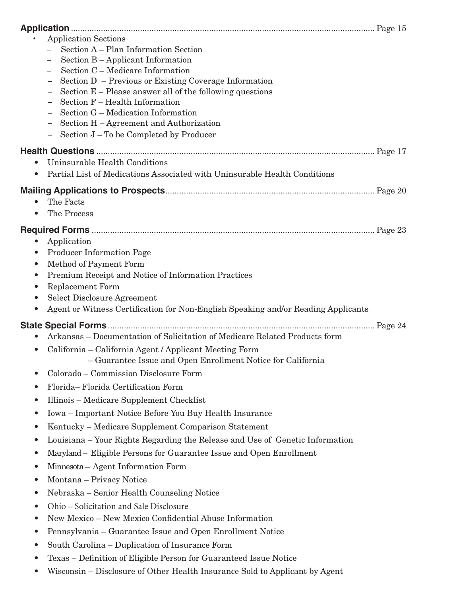| <b>Application Sections</b>                                                                                                                       |  |
|---------------------------------------------------------------------------------------------------------------------------------------------------|--|
| Section A - Plan Information Section                                                                                                              |  |
| Section B - Applicant Information                                                                                                                 |  |
| Section C - Medicare Information                                                                                                                  |  |
| Section D - Previous or Existing Coverage Information<br>Section $E$ – Please answer all of the following questions                               |  |
| Section F - Health Information                                                                                                                    |  |
| Section G – Medication Information                                                                                                                |  |
| Section H - Agreement and Authorization                                                                                                           |  |
| Section J – To be Completed by Producer<br>$\overline{\phantom{0}}$                                                                               |  |
|                                                                                                                                                   |  |
| Uninsurable Health Conditions<br>$\bullet$                                                                                                        |  |
| Partial List of Medications Associated with Uninsurable Health Conditions<br>$\bullet$                                                            |  |
|                                                                                                                                                   |  |
| The Facts<br>$\bullet$                                                                                                                            |  |
| The Process<br>$\bullet$                                                                                                                          |  |
|                                                                                                                                                   |  |
| Application<br>$\bullet$                                                                                                                          |  |
| <b>Producer Information Page</b><br>$\bullet$                                                                                                     |  |
| Method of Payment Form<br>$\bullet$                                                                                                               |  |
| Premium Receipt and Notice of Information Practices<br>$\bullet$                                                                                  |  |
| <b>Replacement Form</b><br>$\bullet$                                                                                                              |  |
| <b>Select Disclosure Agreement</b><br>$\bullet$<br>Agent or Witness Certification for Non-English Speaking and/or Reading Applicants<br>$\bullet$ |  |
|                                                                                                                                                   |  |
| Arkansas - Documentation of Solicitation of Medicare Related Products form                                                                        |  |
| $\bullet$                                                                                                                                         |  |
| California – California Agent / Applicant Meeting Form<br>$\bullet$<br>- Guarantee Issue and Open Enrollment Notice for California                |  |
| Colorado - Commission Disclosure Form<br>$\bullet$                                                                                                |  |
| Florida-Florida Certification Form<br>$\bullet$                                                                                                   |  |
| Illinois – Medicare Supplement Checklist<br>$\bullet$                                                                                             |  |
| Iowa - Important Notice Before You Buy Health Insurance<br>$\bullet$                                                                              |  |
| Kentucky - Medicare Supplement Comparison Statement<br>$\bullet$                                                                                  |  |
| Louisiana – Your Rights Regarding the Release and Use of Genetic Information<br>$\bullet$                                                         |  |
| Maryland - Eligible Persons for Guarantee Issue and Open Enrollment<br>$\bullet$                                                                  |  |
| Minnesota - Agent Information Form<br>$\bullet$                                                                                                   |  |
| Montana – Privacy Notice<br>$\bullet$                                                                                                             |  |
| Nebraska – Senior Health Counseling Notice<br>$\bullet$                                                                                           |  |
| Ohio - Solicitation and Sale Disclosure<br>$\bullet$                                                                                              |  |
| New Mexico - New Mexico Confidential Abuse Information<br>$\bullet$                                                                               |  |
| Pennsylvania – Guarantee Issue and Open Enrollment Notice<br>$\bullet$                                                                            |  |
| South Carolina – Duplication of Insurance Form<br>$\bullet$                                                                                       |  |
| Texas - Definition of Eligible Person for Guaranteed Issue Notice<br>$\bullet$                                                                    |  |
| Wisconsin – Disclosure of Other Health Insurance Sold to Applicant by Agent<br>$\bullet$                                                          |  |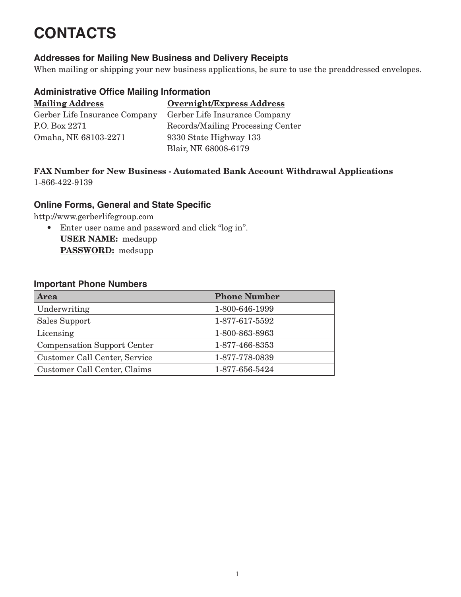# **CONTACTS**

#### **Addresses for Mailing New Business and Delivery Receipts**

When mailing or shipping your new business applications, be sure to use the preaddressed envelopes.

#### **Administrative Office Mailing Information**

| <b>Mailing Address</b>        | Overnight/Express Address         |
|-------------------------------|-----------------------------------|
| Gerber Life Insurance Company | Gerber Life Insurance Company     |
| P.O. Box 2271                 | Records/Mailing Processing Center |
| Omaha, NE 68103-2271          | 9330 State Highway 133            |
|                               | Blair, NE 68008-6179              |

#### FAX Number for New Business - Automated Bank Account Withdrawal Applications 1-866-422-9139

#### **Online Forms, General and State Specific**

http://www.gerberlifegroup.com

• Enter user name and password and click "log in". USER NAME: medsupp PASSWORD: medsupp

#### **Important Phone Numbers**

| <b>Area</b>                        | <b>Phone Number</b> |
|------------------------------------|---------------------|
| Underwriting                       | 1-800-646-1999      |
| Sales Support                      | 1-877-617-5592      |
| Licensing                          | 1-800-863-8963      |
| <b>Compensation Support Center</b> | 1-877-466-8353      |
| Customer Call Center, Service      | 1-877-778-0839      |
| Customer Call Center, Claims       | 1-877-656-5424      |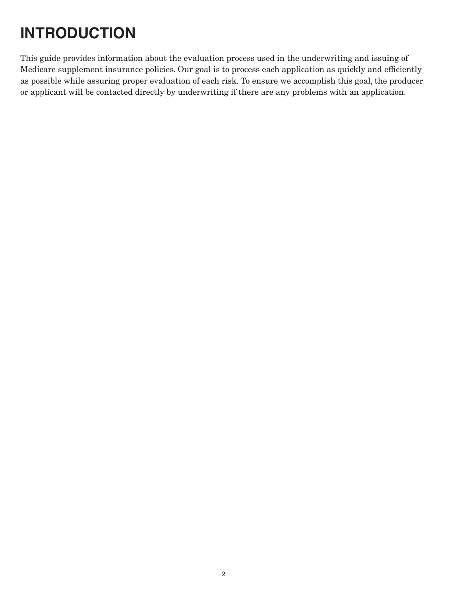# **INTRODUCTION**

This guide provides information about the evaluation process used in the underwriting and issuing of Medicare supplement insurance policies. Our goal is to process each application as quickly and efficiently as possible while assuring proper evaluation of each risk. To ensure we accomplish this goal, the producer or applicant will be contacted directly by underwriting if there are any problems with an application.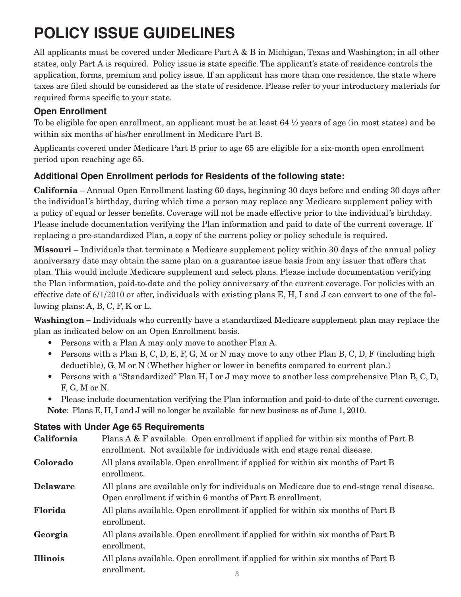# **POLICY ISSUE GUIDELINES**

All applicants must be covered under Medicare Part A & B in Michigan, Texas and Washington; in all other states, only Part A is required. Policy issue is state specific. The applicant's state of residence controls the application, forms, premium and policy issue. If an applicant has more than one residence, the state where taxes are filed should be considered as the state of residence. Please refer to your introductory materials for required forms specific to your state.

### **Open Enrollment**

To be eligible for open enrollment, an applicant must be at least  $64\frac{1}{2}$  years of age (in most states) and be within six months of his/her enrollment in Medicare Part B.

Applicants covered under Medicare Part B prior to age 65 are eligible for a six-month open enrollment period upon reaching age 65.

# **Additional Open Enrollment periods for Residents of the following state:**

California – Annual Open Enrollment lasting 60 days, beginning 30 days before and ending 30 days after the individual's birthday, during which time a person may replace any Medicare supplement policy with a policy of equal or lesser benefits. Coverage will not be made effective prior to the individual's birthday. Please include documentation verifying the Plan information and paid to date of the current coverage. If replacing a pre-standardized Plan, a copy of the current policy or policy schedule is required.

Missouri – Individuals that terminate a Medicare supplement policy within 30 days of the annual policy anniversary date may obtain the same plan on a guarantee issue basis from any issuer that offers that plan. This would include Medicare supplement and select plans. Please include documentation verifying the Plan information, paid-to-date and the policy anniversary of the current coverage. For policies with an effective date of 6/1/2010 or after, individuals with existing plans E, H, I and J can convert to one of the following plans: A, B, C, F, K or L.

Washington – Individuals who currently have a standardized Medicare supplement plan may replace the plan as indicated below on an Open Enrollment basis.

- Persons with a Plan A may only move to another Plan A.
- Persons with a Plan B, C, D, E, F, G, M or N may move to any other Plan B, C, D, F (including high deductible), G, M or N (Whether higher or lower in benefits compared to current plan.)
- • Persons with a "Standardized" Plan H, I or J may move to another less comprehensive Plan B, C, D, F, G, M or N.
- Please include documentation verifying the Plan information and paid-to-date of the current coverage. Note: Plans E, H, I and J will no longer be available for new business as of June 1, 2010.

#### **States with Under Age 65 Requirements**

| California      | Plans A & F available. Open enrollment if applied for within six months of Part B<br>enrollment. Not available for individuals with end stage renal disease. |  |  |
|-----------------|--------------------------------------------------------------------------------------------------------------------------------------------------------------|--|--|
| Colorado        | All plans available. Open enrollment if applied for within six months of Part B<br>enrollment.                                                               |  |  |
| <b>Delaware</b> | All plans are available only for individuals on Medicare due to end-stage renal disease.<br>Open enrollment if within 6 months of Part B enrollment.         |  |  |
| Florida         | All plans available. Open enrollment if applied for within six months of Part B<br>enrollment.                                                               |  |  |
| Georgia         | All plans available. Open enrollment if applied for within six months of Part B<br>enrollment.                                                               |  |  |
| <b>Illinois</b> | All plans available. Open enrollment if applied for within six months of Part B<br>enrollment.<br>3                                                          |  |  |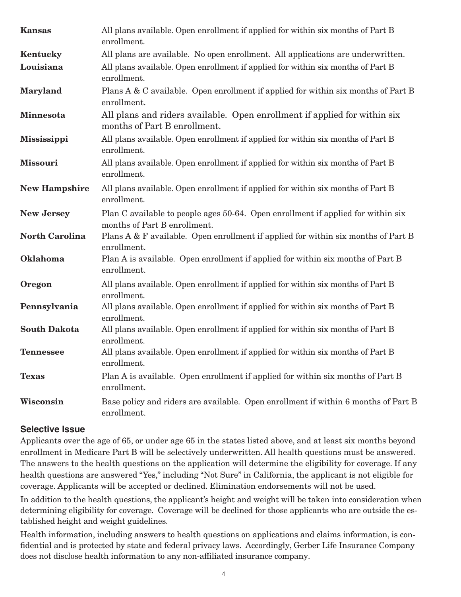| <b>Kansas</b>         | All plans available. Open enrollment if applied for within six months of Part B<br>enrollment.                   |  |
|-----------------------|------------------------------------------------------------------------------------------------------------------|--|
| Kentucky              | All plans are available. No open enrollment. All applications are underwritten.                                  |  |
| Louisiana             | All plans available. Open enrollment if applied for within six months of Part B<br>enrollment.                   |  |
| Maryland              | Plans A & C available. Open enrollment if applied for within six months of Part B<br>enrollment.                 |  |
| Minnesota             | All plans and riders available. Open enrollment if applied for within six<br>months of Part B enrollment.        |  |
| Mississippi           | All plans available. Open enrollment if applied for within six months of Part B<br>enrollment.                   |  |
| <b>Missouri</b>       | All plans available. Open enrollment if applied for within six months of Part B<br>enrollment.                   |  |
| <b>New Hampshire</b>  | All plans available. Open enrollment if applied for within six months of Part B<br>enrollment.                   |  |
| <b>New Jersey</b>     | Plan C available to people ages 50-64. Open enrollment if applied for within six<br>months of Part B enrollment. |  |
| <b>North Carolina</b> | Plans A & F available. Open enrollment if applied for within six months of Part B<br>enrollment.                 |  |
| Oklahoma              | Plan A is available. Open enrollment if applied for within six months of Part B<br>enrollment.                   |  |
| Oregon                | All plans available. Open enrollment if applied for within six months of Part B<br>enrollment.                   |  |
| Pennsylvania          | All plans available. Open enrollment if applied for within six months of Part B<br>enrollment.                   |  |
| <b>South Dakota</b>   | All plans available. Open enrollment if applied for within six months of Part B<br>enrollment.                   |  |
| <b>Tennessee</b>      | All plans available. Open enrollment if applied for within six months of Part B<br>enrollment.                   |  |
| <b>Texas</b>          | Plan A is available. Open enrollment if applied for within six months of Part B<br>enrollment.                   |  |
| Wisconsin             | Base policy and riders are available. Open enrollment if within 6 months of Part B<br>enrollment.                |  |

#### **Selective Issue**

Applicants over the age of 65, or under age 65 in the states listed above, and at least six months beyond enrollment in Medicare Part B will be selectively underwritten. All health questions must be answered. The answers to the health questions on the application will determine the eligibility for coverage. If any health questions are answered "Yes," including "Not Sure" in California, the applicant is not eligible for coverage. Applicants will be accepted or declined. Elimination endorsements will not be used.

In addition to the health questions, the applicant's height and weight will be taken into consideration when determining eligibility for coverage. Coverage will be declined for those applicants who are outside the established height and weight guidelines.

Health information, including answers to health questions on applications and claims information, is confidential and is protected by state and federal privacy laws. Accordingly, Gerber Life Insurance Company does not disclose health information to any non-affiliated insurance company.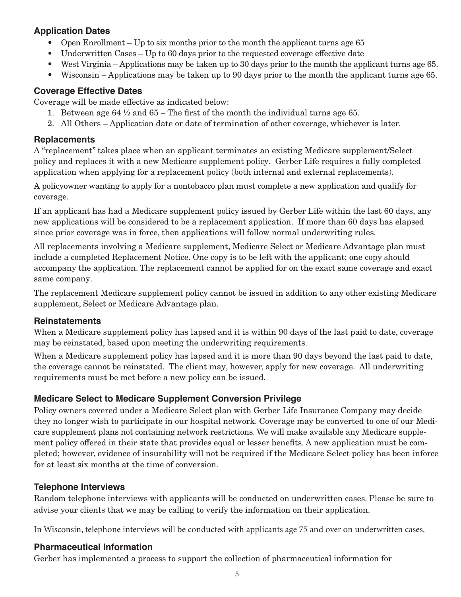### **Application Dates**

- Open Enrollment Up to six months prior to the month the applicant turns age 65
- Underwritten Cases Up to 60 days prior to the requested coverage effective date
- West Virginia Applications may be taken up to 30 days prior to the month the applicant turns age 65.
- Wisconsin Applications may be taken up to 90 days prior to the month the applicant turns age 65.

#### **Coverage Effective Dates**

Coverage will be made effective as indicated below:

- 1. Between age 64  $\frac{1}{2}$  and 65 The first of the month the individual turns age 65.
- 2. All Others Application date or date of termination of other coverage, whichever is later.

#### **Replacements**

A "replacement" takes place when an applicant terminates an existing Medicare supplement/Select policy and replaces it with a new Medicare supplement policy. Gerber Life requires a fully completed application when applying for a replacement policy (both internal and external replacements).

A policyowner wanting to apply for a nontobacco plan must complete a new application and qualify for coverage.

If an applicant has had a Medicare supplement policy issued by Gerber Life within the last 60 days, any new applications will be considered to be a replacement application. If more than 60 days has elapsed since prior coverage was in force, then applications will follow normal underwriting rules.

All replacements involving a Medicare supplement, Medicare Select or Medicare Advantage plan must include a completed Replacement Notice. One copy is to be left with the applicant; one copy should accompany the application. The replacement cannot be applied for on the exact same coverage and exact same company.

The replacement Medicare supplement policy cannot be issued in addition to any other existing Medicare supplement, Select or Medicare Advantage plan.

#### **Reinstatements**

When a Medicare supplement policy has lapsed and it is within 90 days of the last paid to date, coverage may be reinstated, based upon meeting the underwriting requirements.

When a Medicare supplement policy has lapsed and it is more than 90 days beyond the last paid to date, the coverage cannot be reinstated. The client may, however, apply for new coverage. All underwriting requirements must be met before a new policy can be issued.

#### **Medicare Select to Medicare Supplement Conversion Privilege**

Policy owners covered under a Medicare Select plan with Gerber Life Insurance Company may decide they no longer wish to participate in our hospital network. Coverage may be converted to one of our Medicare supplement plans not containing network restrictions. We will make available any Medicare supplement policy offered in their state that provides equal or lesser benefits. A new application must be completed; however, evidence of insurability will not be required if the Medicare Select policy has been inforce for at least six months at the time of conversion.

#### **Telephone Interviews**

Random telephone interviews with applicants will be conducted on underwritten cases. Please be sure to advise your clients that we may be calling to verify the information on their application.

In Wisconsin, telephone interviews will be conducted with applicants age 75 and over on underwritten cases.

#### **Pharmaceutical Information**

Gerber has implemented a process to support the collection of pharmaceutical information for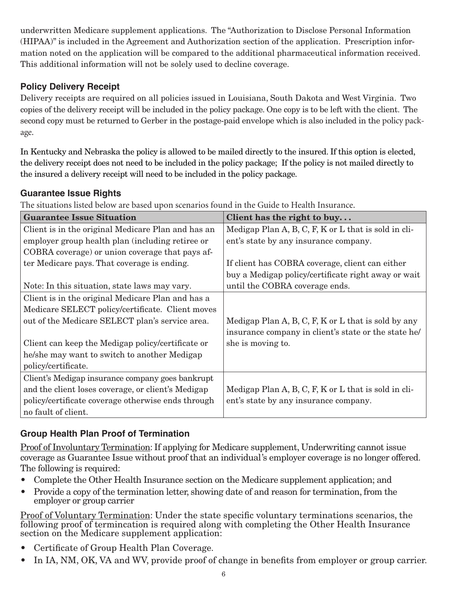underwritten Medicare supplement applications. The "Authorization to Disclose Personal Information (HIPAA)" is included in the Agreement and Authorization section of the application. Prescription information noted on the application will be compared to the additional pharmaceutical information received. This additional information will not be solely used to decline coverage.

# **Policy Delivery Receipt**

Delivery receipts are required on all policies issued in Louisiana, South Dakota and West Virginia. Two copies of the delivery receipt will be included in the policy package. One copy is to be left with the client. The second copy must be returned to Gerber in the postage-paid envelope which is also included in the policy package.

In Kentucky and Nebraska the policy is allowed to be mailed directly to the insured. If this option is elected, the delivery receipt does not need to be included in the policy package; If the policy is not mailed directly to the insured a delivery receipt will need to be included in the policy package.

# **Guarantee Issue Rights**

The situations listed below are based upon scenarios found in the Guide to Health Insurance.

| <b>Guarantee Issue Situation</b>                   | Client has the right to buy                          |
|----------------------------------------------------|------------------------------------------------------|
| Client is in the original Medicare Plan and has an | Medigap Plan A, B, C, F, K or L that is sold in cli- |
| employer group health plan (including retiree or   | ent's state by any insurance company.                |
| COBRA coverage) or union coverage that pays af-    |                                                      |
| ter Medicare pays. That coverage is ending.        | If client has COBRA coverage, client can either      |
|                                                    | buy a Medigap policy/certificate right away or wait  |
| Note: In this situation, state laws may vary.      | until the COBRA coverage ends.                       |
| Client is in the original Medicare Plan and has a  |                                                      |
| Medicare SELECT policy/certificate. Client moves   |                                                      |
| out of the Medicare SELECT plan's service area.    | Medigap Plan A, B, C, F, K or L that is sold by any  |
|                                                    | insurance company in client's state or the state he/ |
| Client can keep the Medigap policy/certificate or  | she is moving to.                                    |
| he/she may want to switch to another Medigap       |                                                      |
| policy/certificate.                                |                                                      |
| Client's Medigap insurance company goes bankrupt   |                                                      |
| and the client loses coverage, or client's Medigap | Medigap Plan A, B, C, F, K or L that is sold in cli- |
| policy/certificate coverage otherwise ends through | ent's state by any insurance company.                |
| no fault of client.                                |                                                      |

# **Group Health Plan Proof of Termination**

Proof of Involuntary Termination: If applying for Medicare supplement, Underwriting cannot issue coverage as Guarantee Issue without proof that an individual's employer coverage is no longer offered. The following is required:

- Complete the Other Health Insurance section on the Medicare supplement application; and
- Provide a copy of the termination letter, showing date of and reason for termination, from the employer or group carrier

Proof of Voluntary Termination: Under the state specific voluntary terminations scenarios, the following proof of termincation is required along with completing the Other Health Insurance section on the Medicare supplement application:

- • Certificate of Group Health Plan Coverage.
- In IA, NM, OK, VA and WV, provide proof of change in benefits from employer or group carrier.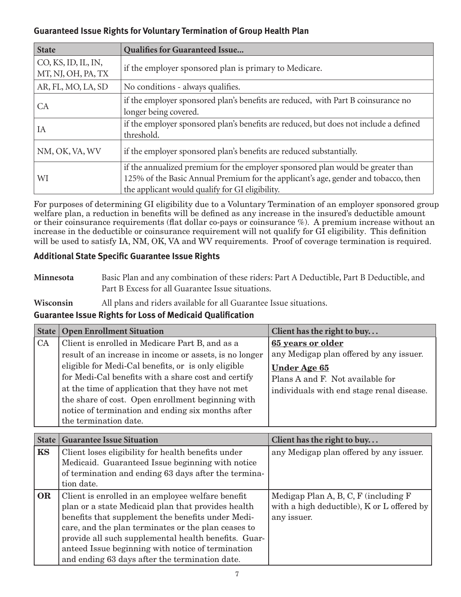#### **Guaranteed Issue Rights for Voluntary Termination of Group Health Plan**

| <b>State</b>                              | <b>Qualifies for Guaranteed Issue</b>                                                                                                                                                                                    |  |
|-------------------------------------------|--------------------------------------------------------------------------------------------------------------------------------------------------------------------------------------------------------------------------|--|
| CO, KS, ID, IL, IN,<br>MT, NJ, OH, PA, TX | if the employer sponsored plan is primary to Medicare.                                                                                                                                                                   |  |
| AR, FL, MO, LA, SD                        | No conditions - always qualifies.                                                                                                                                                                                        |  |
| CA                                        | if the employer sponsored plan's benefits are reduced, with Part B coinsurance no<br>longer being covered.                                                                                                               |  |
| IA                                        | if the employer sponsored plan's benefits are reduced, but does not include a defined<br>threshold.                                                                                                                      |  |
| NM, OK, VA, WV                            | if the employer sponsored plan's benefits are reduced substantially.                                                                                                                                                     |  |
| WI                                        | if the annualized premium for the employer sponsored plan would be greater than<br>125% of the Basic Annual Premium for the applicant's age, gender and tobacco, then<br>the applicant would qualify for GI eligibility. |  |

For purposes of determining GI eligibility due to a Voluntary Termination of an employer sponsored group welfare plan, a reduction in benefits will be defined as any increase in the insured's deductible amount or their coinsurance requirements (flat dollar co-pays or coinsurance %). A premium increase without an increase in the deductible or coinsurance requirement will not qualify for GI eligibility. This definition will be used to satisfy IA, NM, OK, VA and WV requirements. Proof of coverage termination is required.

#### **Additional State Specific Guarantee Issue Rights**

- **Minnesota** Basic Plan and any combination of these riders: Part A Deductible, Part B Deductible, and Part B Excess for all Guarantee Issue situations.
- **Wisconsin** All plans and riders available for all Guarantee Issue situations.

# **Guarantee Issue Rights for Loss of Medicaid Qualification**

| <b>State</b> | <b>Open Enrollment Situation</b>                        | Client has the right to buy               |
|--------------|---------------------------------------------------------|-------------------------------------------|
| CA           | Client is enrolled in Medicare Part B, and as a         | 65 years or older                         |
|              | result of an increase in income or assets, is no longer | any Medigap plan offered by any issuer.   |
|              | eligible for Medi-Cal benefits, or is only eligible     | <b>Under Age 65</b>                       |
|              | for Medi-Cal benefits with a share cost and certify     | Plans A and F. Not available for          |
|              | at the time of application that they have not met       | individuals with end stage renal disease. |
|              | the share of cost. Open enrollment beginning with       |                                           |
|              | notice of termination and ending six months after       |                                           |
|              | the termination date.                                   |                                           |

| <b>State</b> | <b>Guarantee Issue Situation</b>                     | Client has the right to buy                |
|--------------|------------------------------------------------------|--------------------------------------------|
| <b>KS</b>    | Client loses eligibility for health benefits under   | any Medigap plan offered by any issuer.    |
|              | Medicaid. Guaranteed Issue beginning with notice     |                                            |
|              | of termination and ending 63 days after the termina- |                                            |
|              | tion date.                                           |                                            |
| OR           | Client is enrolled in an employee welfare benefit    | Medigap Plan A, B, C, F (including F)      |
|              | plan or a state Medicaid plan that provides health   | with a high deductible), K or L offered by |
|              | benefits that supplement the benefits under Medi-    | any issuer.                                |
|              | care, and the plan terminates or the plan ceases to  |                                            |
|              | provide all such supplemental health benefits. Guar- |                                            |
|              | anteed Issue beginning with notice of termination    |                                            |
|              | and ending 63 days after the termination date.       |                                            |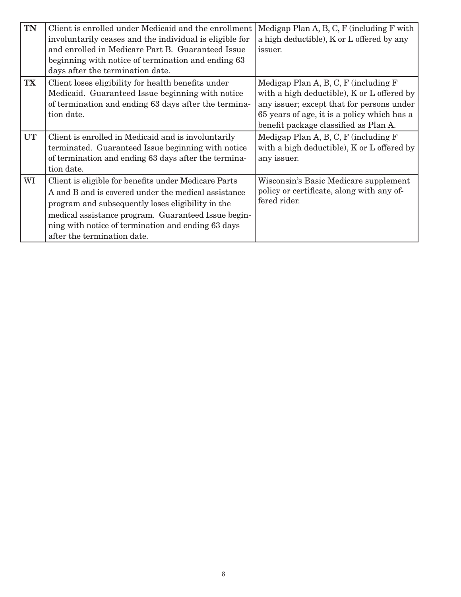| <b>TN</b> | Client is enrolled under Medicaid and the enrollment<br>involuntarily ceases and the individual is eligible for<br>and enrolled in Medicare Part B. Guaranteed Issue<br>beginning with notice of termination and ending 63<br>days after the termination date.                                               | Medigap Plan A, B, C, F (including F with<br>a high deductible), K or L offered by any<br>issuer.                                                                                                                        |
|-----------|--------------------------------------------------------------------------------------------------------------------------------------------------------------------------------------------------------------------------------------------------------------------------------------------------------------|--------------------------------------------------------------------------------------------------------------------------------------------------------------------------------------------------------------------------|
| <b>TX</b> | Client loses eligibility for health benefits under<br>Medicaid. Guaranteed Issue beginning with notice<br>of termination and ending 63 days after the termina-<br>tion date.                                                                                                                                 | Medigap Plan A, B, C, F (including F)<br>with a high deductible), K or L offered by<br>any issuer; except that for persons under<br>65 years of age, it is a policy which has a<br>benefit package classified as Plan A. |
| <b>UT</b> | Client is enrolled in Medicaid and is involuntarily<br>terminated. Guaranteed Issue beginning with notice<br>of termination and ending 63 days after the termina-<br>tion date.                                                                                                                              | Medigap Plan A, B, C, F (including F)<br>with a high deductible), K or L offered by<br>any issuer.                                                                                                                       |
| WI        | Client is eligible for benefits under Medicare Parts<br>A and B and is covered under the medical assistance<br>program and subsequently loses eligibility in the<br>medical assistance program. Guaranteed Issue begin-<br>ning with notice of termination and ending 63 days<br>after the termination date. | Wisconsin's Basic Medicare supplement<br>policy or certificate, along with any of-<br>fered rider.                                                                                                                       |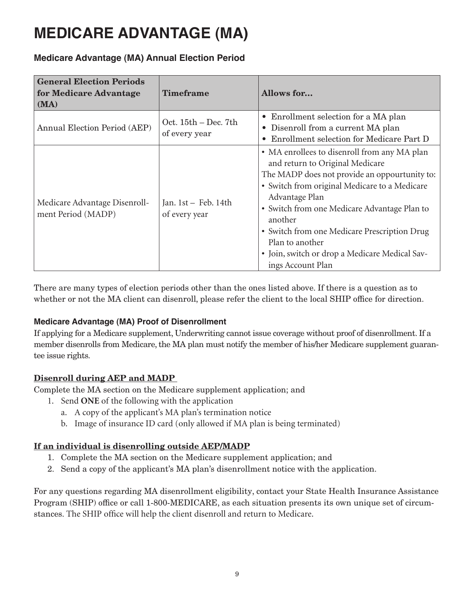# **MEDICARE ADVANTAGE (MA)**

# **Medicare Advantage (MA) Annual Election Period**

| <b>General Election Periods</b><br>for Medicare Advantage<br>(MA) | <b>Timeframe</b>                        | Allows for                                                                                                                                                                                                                                                                                                                                                                                               |
|-------------------------------------------------------------------|-----------------------------------------|----------------------------------------------------------------------------------------------------------------------------------------------------------------------------------------------------------------------------------------------------------------------------------------------------------------------------------------------------------------------------------------------------------|
| Annual Election Period (AEP)                                      | Oct. $15th$ – Dec. 7th<br>of every year | • Enrollment selection for a MA plan<br>Disenroll from a current MA plan<br>$\bullet$<br>Enrollment selection for Medicare Part D                                                                                                                                                                                                                                                                        |
| Medicare Advantage Disenroll-<br>ment Period (MADP)               | Jan. 1st - Feb. 14th<br>of every year   | • MA enrollees to disenroll from any MA plan<br>and return to Original Medicare<br>The MADP does not provide an oppourtunity to:<br>• Switch from original Medicare to a Medicare<br>Advantage Plan<br>• Switch from one Medicare Advantage Plan to<br>another<br>• Switch from one Medicare Prescription Drug<br>Plan to another<br>• Join, switch or drop a Medicare Medical Sav-<br>ings Account Plan |

There are many types of election periods other than the ones listed above. If there is a question as to whether or not the MA client can disenroll, please refer the client to the local SHIP office for direction.

#### **Medicare Advantage (MA) Proof of Disenrollment**

If applying for a Medicare supplement, Underwriting cannot issue coverage without proof of disenrollment. If a member disenrolls from Medicare, the MA plan must notify the member of his/her Medicare supplement guarantee issue rights.

#### Disenroll during AEP and MADP

Complete the MA section on the Medicare supplement application; and

- 1. Send **ONE** of the following with the application
	- a. A copy of the applicant's MA plan's termination notice
	- b. Image of insurance ID card (only allowed if MA plan is being terminated)

#### If an individual is disenrolling outside AEP/MADP

- 1. Complete the MA section on the Medicare supplement application; and
- 2. Send a copy of the applicant's MA plan's disenrollment notice with the application.

For any questions regarding MA disenrollment eligibility, contact your State Health Insurance Assistance Program (SHIP) office or call 1-800-MEDICARE, as each situation presents its own unique set of circumstances. The SHIP office will help the client disenroll and return to Medicare.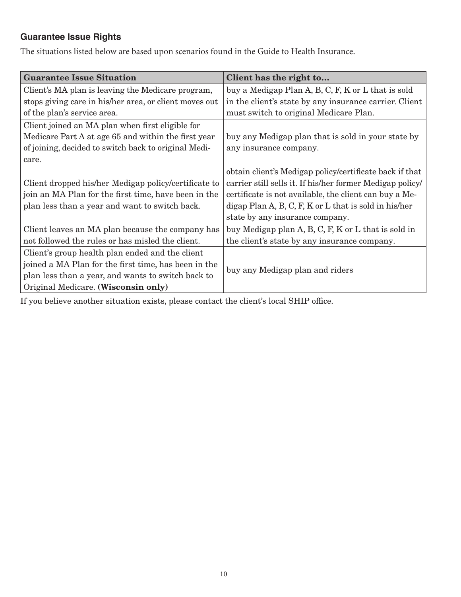# **Guarantee Issue Rights**

The situations listed below are based upon scenarios found in the Guide to Health Insurance.

| <b>Guarantee Issue Situation</b>                       | Client has the right to                                   |
|--------------------------------------------------------|-----------------------------------------------------------|
| Client's MA plan is leaving the Medicare program,      | buy a Medigap Plan A, B, C, F, K or L that is sold        |
| stops giving care in his/her area, or client moves out | in the client's state by any insurance carrier. Client    |
| of the plan's service area.                            | must switch to original Medicare Plan.                    |
| Client joined an MA plan when first eligible for       |                                                           |
| Medicare Part A at age 65 and within the first year    | buy any Medigap plan that is sold in your state by        |
| of joining, decided to switch back to original Medi-   | any insurance company.                                    |
| care.                                                  |                                                           |
|                                                        | obtain client's Medigap policy/certificate back if that   |
| Client dropped his/her Medigap policy/certificate to   | carrier still sells it. If his/her former Medigap policy/ |
| join an MA Plan for the first time, have been in the   | certificate is not available, the client can buy a Me-    |
| plan less than a year and want to switch back.         | digap Plan A, B, C, F, K or L that is sold in his/her     |
|                                                        | state by any insurance company.                           |
| Client leaves an MA plan because the company has       | buy Medigap plan A, B, C, F, K or L that is sold in       |
| not followed the rules or has misled the client.       | the client's state by any insurance company.              |
| Client's group health plan ended and the client        |                                                           |
| joined a MA Plan for the first time, has been in the   |                                                           |
| plan less than a year, and wants to switch back to     | buy any Medigap plan and riders                           |
| Original Medicare. (Wisconsin only)                    |                                                           |

If you believe another situation exists, please contact the client's local SHIP office.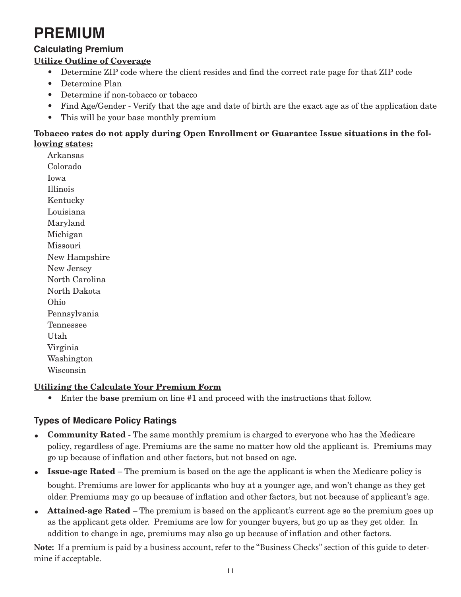# **PREMIUM**

# **Calculating Premium**

# Utilize Outline of Coverage

- Determine ZIP code where the client resides and find the correct rate page for that ZIP code
- • Determine Plan
- • Determine if non-tobacco or tobacco
- Find Age/Gender Verify that the age and date of birth are the exact age as of the application date
- This will be your base monthly premium

#### Tobacco rates do not apply during Open Enrollment or Guarantee Issue situations in the following states:

Arkansas Colorado Iowa Illinois Kentucky Louisiana Maryland Michigan Missouri New Hampshire New Jersey North Carolina North Dakota Ohio Pennsylvania Tennessee Utah Virginia Washington Wisconsin

#### Utilizing the Calculate Your Premium Form

Enter the **base** premium on line #1 and proceed with the instructions that follow.

# **Types of Medicare Policy Ratings**

- Community Rated The same monthly premium is charged to everyone who has the Medicare policy, regardless of age. Premiums are the same no matter how old the applicant is. Premiums may go up because of inflation and other factors, but not based on age.
- **Issue-age Rated** The premium is based on the age the applicant is when the Medicare policy is bought. Premiums are lower for applicants who buy at a younger age, and won't change as they get older. Premiums may go up because of inflation and other factors, but not because of applicant's age.
- Attained-age Rated The premium is based on the applicant's current age so the premium goes up as the applicant gets older. Premiums are low for younger buyers, but go up as they get older. In addition to change in age, premiums may also go up because of inflation and other factors.

**Note:** If a premium is paid by a business account, refer to the "Business Checks" section of this guide to determine if acceptable.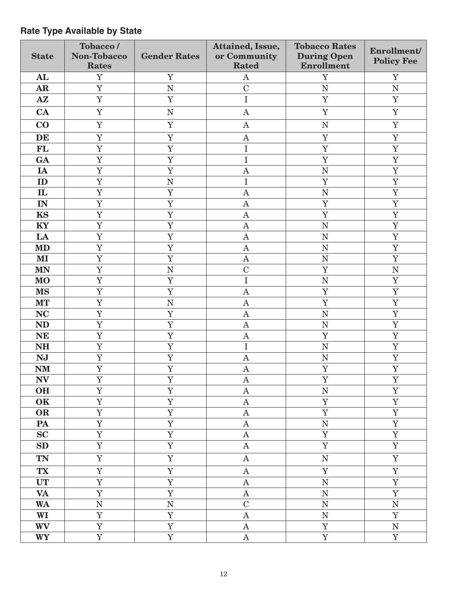#### State Tobacco / Non-Tobacco Rates Gender Rates Attained, Issue, or Community Rated Tobacco Rates During Open Enrollment Enrollment/ Policy Fee AL | Y | Y | A | Y | Y  $\begin{array}{ccccccccccccccccc} \textbf{AR} & & & Y & & | & & \textbf{N} & & | & & \textbf{C} & & | & & \textbf{N} & & | & & \textbf{N} \end{array}$ AZ | Y | Y | I | Y | Y  $\mathbf{CA}$  | Y | N | A | Y | Y  $\begin{array}{ccccccccccccccccccccc}\n\textbf{CO} & & & Y & & | & & Y & & | & & \textbf{A} & & | & & \textbf{N} & & | & & \textbf{Y}\n\end{array}$ DE | Y | Y | A | Y | Y FL | Y | Y | I | Y | Y GA Y Y I Y Y IA Y Y A N Y ID Y N I Y Y IL | Y | Y | A | N | Y IN | Y | Y | A | Y | Y KS | Y | Y | A | Y | Y KY | Y | Y | A | N | Y  $\mathbf{LA}$  | Y | Y | A | N | Y  $\mathbf{M}\mathbf{D}$  | Y | A | N | Y MI Y Y A N Y MN Y N C Y N MO Y Y I N Y MS | Y | Y | A | Y | Y  $\textbf{MT} \quad | \quad \textbf{Y} \quad | \quad \textbf{N} \quad | \quad \textbf{A} \quad | \quad \textbf{Y} \quad | \quad \textbf{Y}$  $NC$  | Y | Y | A | N | Y ND | Y | Y | A | N | Y  $N\mathbf{E}$  | Y | X | A | Y | Y NH | Y | Y | I | N | Y NJ | Y | Y | A | N | Y  $N$ M | Y | Y | A | Y | Y  $\begin{array}{c|ccccccccccccccccccccccccccccc} N{\bf V} & & {\bf Y} & & {\bf Y} & & {\bf Y} & & {\bf A} & & {\bf Y} & & {\bf Y} & & {\bf Y} & & \end{array}$ OH | Y | Y | A | N | Y OK | Y | Y | A | Y | Y OR | Y | Y | A | Y | Y PA | Y | Y | A | N | Y  $\mathbf{SC}$  | Y | Y | A | Y | Y  $\textbf{SD}$  | Y | Y | A | Y | Y TN | Y | Y | A | N | Y TX | Y | Y | A | Y | Y UT | Y | Y | A | N | Y VA Y Y A N Y WA N N N C N N N WI Y Y A N Y WV Y Y A Y N WY Y Y A Y Y

### **Rate Type Available by State**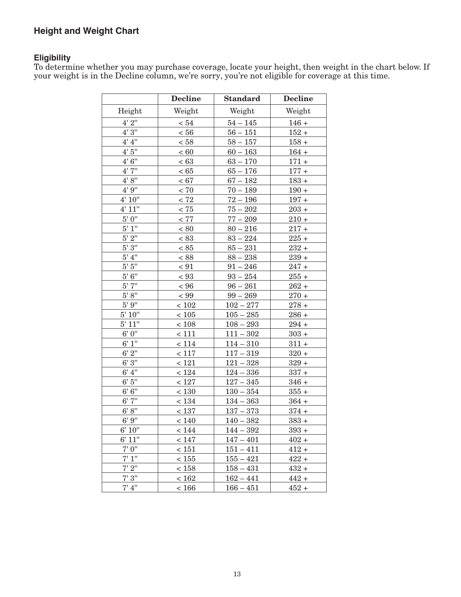# **Height and Weight Chart**

#### **Eligibility**

To determine whether you may purchase coverage, locate your height, then weight in the chart below. If your weight is in the Decline column, we're sorry, you're not eligible for coverage at this time. 

|                    | <b>Decline</b> | <b>Standard</b> | <b>Decline</b> |
|--------------------|----------------|-----------------|----------------|
| Height             | Weight         | Weight          | Weight         |
| 4' 2''             | < 54           | $54 - 145$      | $146 +$        |
| 4'3''              | $< 56$         | $56 - 151$      | $152 +$        |
| 4' 4''             | < 58           | $58 - 157$      | $158 +$        |
| 4'5''              | < 60           | $60 - 163$      | $164 +$        |
| 4'6''              | < 63           | $63 - 170$      | $171 +$        |
| 4'7''              | < 65           | $65 - 176$      | $177 +$        |
| 4' 8''             | < 67           | $67 - 182$      | $183 +$        |
| 4'9''              | < 70           | $70 - 189$      | $190 +$        |
| 4' 10''            | < 72           | $72 - 196$      | $197 +$        |
| 4' 11''            | $< 75\,$       | $75 - 202$      | $203 +$        |
| $5'$ $0''$         | $< 77\,$       | $77 - 209$      | $210 +$        |
| 5' 1''             | < 80           | $80 - 216$      | $217 +$        |
| $5'$ $2''$         | < 83           | $83 - 224$      | $225 +$        |
| $\overline{5'3''}$ | < 85           | $85 - 231$      | $232 +$        |
| 5' 4''             | < 88           | $88 - 238$      | $239 +$        |
| 5' 5''             | $\leq 91$      | $91 - 246$      | $247 +$        |
| $5' 6''$           | < 93           | $93 - 254$      | $255 +$        |
| 5'7''              | < 96           | $96 - 261$      | $262 +$        |
| $5' 8''$           | < 99           | $99 - 269$      | $270 +$        |
| $5'$ 9"            | < 102          | $102 - 277$     | $278 +$        |
| 5' 10''            | $<105$         | $105 - 285$     | $286 +$        |
| 5' 11"             | < 108          | $108 - 293$     | $294 +$        |
| 6' 0''             | < 111          | $111 - 302$     | $303 +$        |
| 6' 1''             | < 114          | $114 - 310$     | $311 +$        |
| 6'2''              | < 117          | $117 - 319$     | $320 +$        |
| 6'3''              | $<$ 121        | $121 - 328$     | $329 +$        |
| 6' 4''             | < 124          | $124 - 336$     | $337 +$        |
| 6'5''              | $<127\,$       | $127 - 345$     | $346 +$        |
| 6'6''              | < 130          | $130 - 354$     | $355 +$        |
| 6'7''              | < 134          | $134 - 363$     | $364 +$        |
| 6' 8''             | $\leq 137$     | $137 - 373$     | $374 +$        |
| 6'9''              | < 140          | $140 - 382$     | $383 +$        |
| 6' 10''            | < 144          | $144 - 392$     | $393 +$        |
| 6' 11"             | < 147          | $147 - 401$     | $402 +$        |
| 7' 0''             | < 151          | $151 - 411$     | $412 +$        |
| 7' 1''             | < 155          | $155 - 421$     | $422 +$        |
| 7'2''              | < 158          | $158 - 431$     | $432 +$        |
| 7'3''              | < 162          | $162 - 441$     | $442 +$        |
| 7'4''              | < 166          | $166 - 451$     | $452 +$        |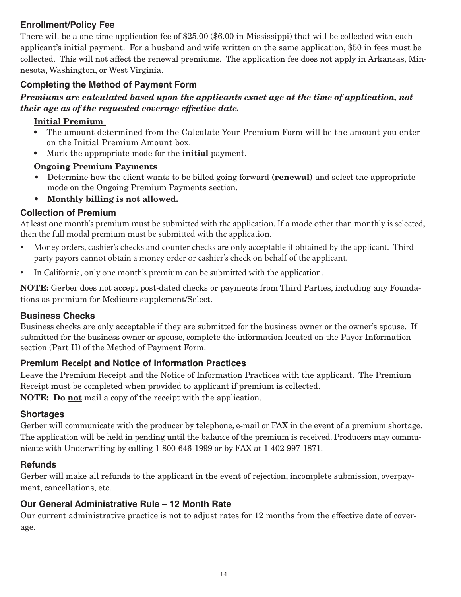# **Enrollment/Policy Fee**

There will be a one-time application fee of \$25.00 (\$6.00 in Mississippi) that will be collected with each applicant's initial payment. For a husband and wife written on the same application, \$50 in fees must be collected. This will not affect the renewal premiums. The application fee does not apply in Arkansas, Minnesota, Washington, or West Virginia.

### **Completing the Method of Payment Form**

#### *Premiums are calculated based upon the applicants exact age at the time of application, not their age as of the requested coverage effective date.*

#### Initial Premium

- The amount determined from the Calculate Your Premium Form will be the amount you enter on the Initial Premium Amount box.
- Mark the appropriate mode for the **initial** payment.

#### Ongoing Premium Payments

- Determine how the client wants to be billed going forward (**renewal**) and select the appropriate mode on the Ongoing Premium Payments section.
- Monthly billing is not allowed.

#### **Collection of Premium**

At least one month's premium must be submitted with the application. If a mode other than monthly is selected, then the full modal premium must be submitted with the application.

- • Money orders, cashier's checks and counter checks are only acceptable if obtained by the applicant. Third party payors cannot obtain a money order or cashier's check on behalf of the applicant.
- In California, only one month's premium can be submitted with the application.

NOTE: Gerber does not accept post-dated checks or payments from Third Parties, including any Foundations as premium for Medicare supplement/Select.

#### **Business Checks**

Business checks are only acceptable if they are submitted for the business owner or the owner's spouse. If submitted for the business owner or spouse, complete the information located on the Payor Information section (Part II) of the Method of Payment Form.

#### **Premium Receipt and Notice of Information Practices**

Leave the Premium Receipt and the Notice of Information Practices with the applicant. The Premium Receipt must be completed when provided to applicant if premium is collected.

NOTE: Do not mail a copy of the receipt with the application.

#### **Shortages**

Gerber will communicate with the producer by telephone, e-mail or FAX in the event of a premium shortage. The application will be held in pending until the balance of the premium is received. Producers may communicate with Underwriting by calling 1-800-646-1999 or by FAX at 1-402-997-1871.

#### **Refunds**

Gerber will make all refunds to the applicant in the event of rejection, incomplete submission, overpayment, cancellations, etc.

#### **Our General Administrative Rule – 12 Month Rate**

Our current administrative practice is not to adjust rates for 12 months from the effective date of coverage.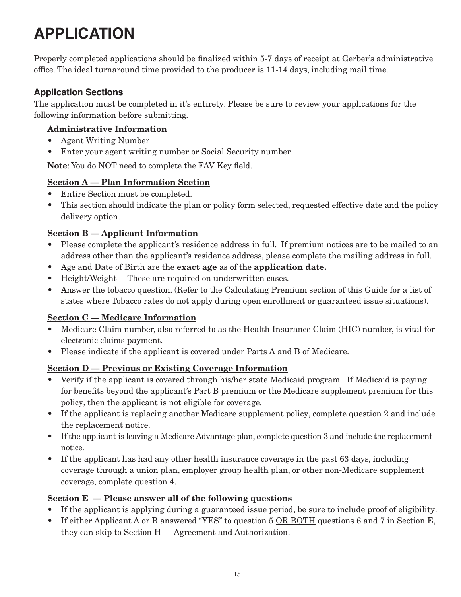# **APPLICATION**

Properly completed applications should be finalized within 5-7 days of receipt at Gerber's administrative office. The ideal turnaround time provided to the producer is 11-14 days, including mail time.

#### **Application Sections**

The application must be completed in it's entirety. Please be sure to review your applications for the following information before submitting.

### Administrative Information

- • Agent Writing Number
- Enter your agent writing number or Social Security number.

Note: You do NOT need to complete the FAV Key field.

### Section A — Plan Information Section

- Entire Section must be completed.
- This section should indicate the plan or policy form selected, requested effective date-and the policy delivery option.

#### Section B — Applicant Information

- Please complete the applicant's residence address in full. If premium notices are to be mailed to an address other than the applicant's residence address, please complete the mailing address in full.
- Age and Date of Birth are the **exact age** as of the **application date.**
- Height/Weight —These are required on underwritten cases.
- • Answer the tobacco question. (Refer to the Calculating Premium section of this Guide for a list of states where Tobacco rates do not apply during open enrollment or guaranteed issue situations).

#### Section C — Medicare Information

- Medicare Claim number, also referred to as the Health Insurance Claim (HIC) number, is vital for electronic claims payment.
- Please indicate if the applicant is covered under Parts A and B of Medicare.

#### Section D — Previous or Existing Coverage Information

- Verify if the applicant is covered through his/her state Medicaid program. If Medicaid is paying for benefits beyond the applicant's Part B premium or the Medicare supplement premium for this policy, then the applicant is not eligible for coverage.
- If the applicant is replacing another Medicare supplement policy, complete question 2 and include the replacement notice.
- If the applicant is leaving a Medicare Advantage plan, complete question 3 and include the replacement notice.
- If the applicant has had any other health insurance coverage in the past 63 days, including coverage through a union plan, employer group health plan, or other non-Medicare supplement coverage, complete question 4.

#### Section  $E -$  Please answer all of the following questions

- If the applicant is applying during a guaranteed issue period, be sure to include proof of eligibility.
- If either Applicant A or B answered "YES" to question 5 OR BOTH questions 6 and 7 in Section E, they can skip to Section H — Agreement and Authorization.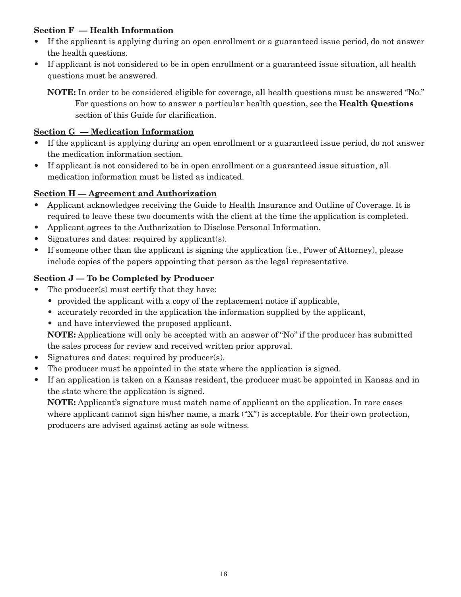#### Section F — Health Information

- If the applicant is applying during an open enrollment or a guaranteed issue period, do not answer the health questions.
- • If applicant is not considered to be in open enrollment or a guaranteed issue situation, all health questions must be answered.

NOTE: In order to be considered eligible for coverage, all health questions must be answered "No." For questions on how to answer a particular health question, see the Health Questions section of this Guide for clarification.

#### Section G — Medication Information

- If the applicant is applying during an open enrollment or a guaranteed issue period, do not answer the medication information section.
- If applicant is not considered to be in open enrollment or a guaranteed issue situation, all medication information must be listed as indicated.

#### Section H – Agreement and Authorization

- • Applicant acknowledges receiving the Guide to Health Insurance and Outline of Coverage. It is required to leave these two documents with the client at the time the application is completed.
- • Applicant agrees to the Authorization to Disclose Personal Information.
- Signatures and dates: required by applicant(s).
- If someone other than the applicant is signing the application (i.e., Power of Attorney), please include copies of the papers appointing that person as the legal representative.

#### Section J — To be Completed by Producer

- The producer(s) must certify that they have:
	- provided the applicant with a copy of the replacement notice if applicable,
	- accurately recorded in the application the information supplied by the applicant,
	- and have interviewed the proposed applicant.

NOTE: Applications will only be accepted with an answer of "No" if the producer has submitted the sales process for review and received written prior approval.

- Signatures and dates: required by producer(s).
- The producer must be appointed in the state where the application is signed.
- • If an application is taken on a Kansas resident, the producer must be appointed in Kansas and in the state where the application is signed.

NOTE: Applicant's signature must match name of applicant on the application. In rare cases where applicant cannot sign his/her name, a mark ("X") is acceptable. For their own protection, producers are advised against acting as sole witness.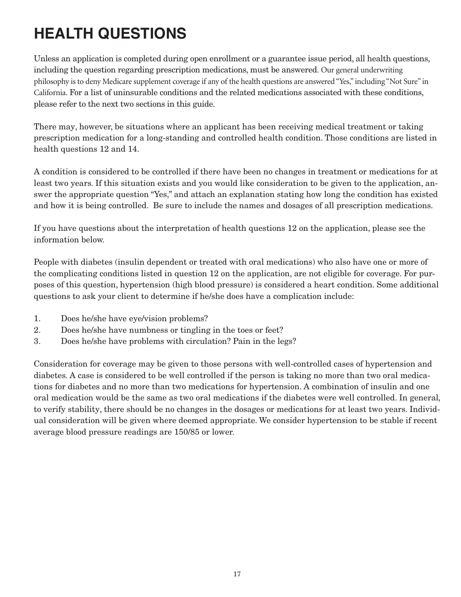# **HEALTH QUESTIONS**

Unless an application is completed during open enrollment or a guarantee issue period, all health questions, including the question regarding prescription medications, must be answered. Our general underwriting philosophy is to deny Medicare supplement coverage if any of the health questions are answered "Yes," including "Not Sure" in California. For a list of uninsurable conditions and the related medications associated with these conditions, please refer to the next two sections in this guide.

There may, however, be situations where an applicant has been receiving medical treatment or taking prescription medication for a long-standing and controlled health condition. Those conditions are listed in health questions 12 and 14.

A condition is considered to be controlled if there have been no changes in treatment or medications for at least two years. If this situation exists and you would like consideration to be given to the application, answer the appropriate question "Yes," and attach an explanation stating how long the condition has existed and how it is being controlled. Be sure to include the names and dosages of all prescription medications.

If you have questions about the interpretation of health questions 12 on the application, please see the information below.

People with diabetes (insulin dependent or treated with oral medications) who also have one or more of the complicating conditions listed in question 12 on the application, are not eligible for coverage. For purposes of this question, hypertension (high blood pressure) is considered a heart condition. Some additional questions to ask your client to determine if he/she does have a complication include:

- 1. Does he/she have eye/vision problems?
- 2. Does he/she have numbness or tingling in the toes or feet?
- 3. Does he/she have problems with circulation? Pain in the legs?

Consideration for coverage may be given to those persons with well-controlled cases of hypertension and diabetes. A case is considered to be well controlled if the person is taking no more than two oral medications for diabetes and no more than two medications for hypertension. A combination of insulin and one oral medication would be the same as two oral medications if the diabetes were well controlled. In general, to verify stability, there should be no changes in the dosages or medications for at least two years. Individual consideration will be given where deemed appropriate. We consider hypertension to be stable if recent average blood pressure readings are 150/85 or lower.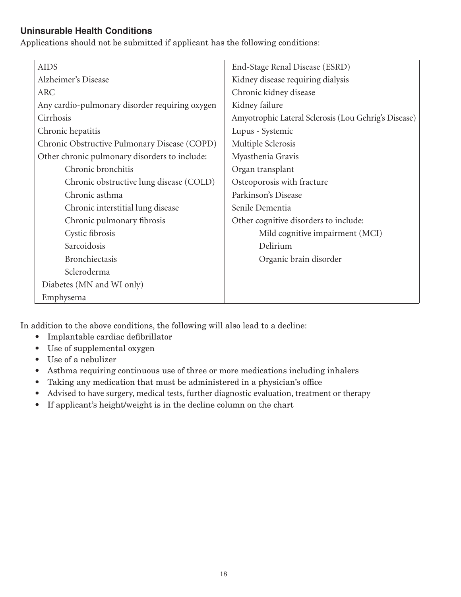### **Uninsurable Health Conditions**

Applications should not be submitted if applicant has the following conditions:

| <b>AIDS</b>                                    | End-Stage Renal Disease (ESRD)                       |
|------------------------------------------------|------------------------------------------------------|
| Alzheimer's Disease                            | Kidney disease requiring dialysis                    |
| <b>ARC</b>                                     | Chronic kidney disease                               |
| Any cardio-pulmonary disorder requiring oxygen | Kidney failure                                       |
| Cirrhosis                                      | Amyotrophic Lateral Sclerosis (Lou Gehrig's Disease) |
| Chronic hepatitis                              | Lupus - Systemic                                     |
| Chronic Obstructive Pulmonary Disease (COPD)   | Multiple Sclerosis                                   |
| Other chronic pulmonary disorders to include:  | Myasthenia Gravis                                    |
| Chronic bronchitis                             | Organ transplant                                     |
| Chronic obstructive lung disease (COLD)        | Osteoporosis with fracture                           |
| Chronic asthma                                 | Parkinson's Disease                                  |
| Chronic interstitial lung disease              | Senile Dementia                                      |
| Chronic pulmonary fibrosis                     | Other cognitive disorders to include:                |
| Cystic fibrosis                                | Mild cognitive impairment (MCI)                      |
| Sarcoidosis                                    | Delirium                                             |
| <b>Bronchiectasis</b>                          | Organic brain disorder                               |
| Scleroderma                                    |                                                      |
| Diabetes (MN and WI only)                      |                                                      |
| Emphysema                                      |                                                      |

In addition to the above conditions, the following will also lead to a decline:

- • Implantable cardiac defibrillator
- Use of supplemental oxygen
- • Use of a nebulizer
- • Asthma requiring continuous use of three or more medications including inhalers
- Taking any medication that must be administered in a physician's office
- Advised to have surgery, medical tests, further diagnostic evaluation, treatment or therapy
- • If applicant's height/weight is in the decline column on the chart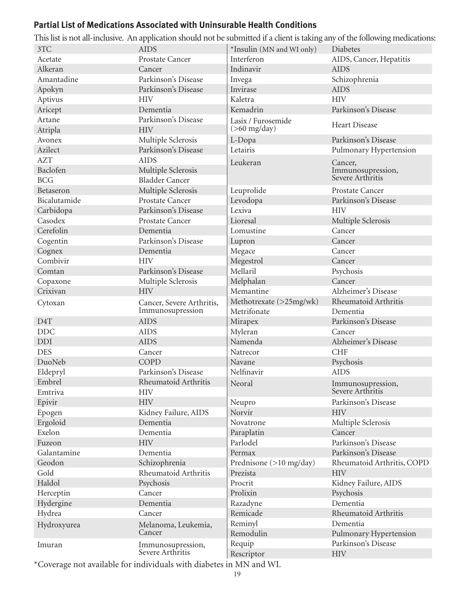# **Partial List of Medications Associated with Uninsurable Health Conditions**

|                  |                                       |                           | This ilst is not all-inclusive. An application should not be submitted if a client is taking any of the following medications |
|------------------|---------------------------------------|---------------------------|-------------------------------------------------------------------------------------------------------------------------------|
| 3TC              | <b>AIDS</b>                           | *Insulin (MN and WI only) | Diabetes                                                                                                                      |
| Acetate          | Prostate Cancer                       | Interferon                | AIDS, Cancer, Hepatitis                                                                                                       |
| Alkeran          | Cancer                                | Indinavir                 | <b>AIDS</b>                                                                                                                   |
| Amantadine       | Parkinson's Disease                   | Invega                    | Schizophrenia                                                                                                                 |
| Apokyn           | Parkinson's Disease                   | Invirase                  | <b>AIDS</b>                                                                                                                   |
| Aptivus          | <b>HIV</b>                            | Kaletra                   | <b>HIV</b>                                                                                                                    |
| Aricept          | Dementia                              | Kemadrin                  | Parkinson's Disease                                                                                                           |
| Artane           | Parkinson's Disease                   | Lasix / Furosemide        |                                                                                                                               |
| Atripla          | <b>HIV</b>                            | $($ >60 mg/day $)$        | Heart Disease                                                                                                                 |
| Avonex           | Multiple Sclerosis                    | L-Dopa                    | Parkinson's Disease                                                                                                           |
| Azilect          | Parkinson's Disease                   | Letairis                  | Pulmonary Hypertension                                                                                                        |
| <b>AZT</b>       | <b>AIDS</b>                           | Leukeran                  | Cancer,                                                                                                                       |
| Baclofen         | Multiple Sclerosis                    |                           | Immunosupression,                                                                                                             |
| <b>BCG</b>       | <b>Bladder Cancer</b>                 |                           | Severe Arthritis                                                                                                              |
| Betaseron        | Multiple Sclerosis                    | Leuprolide                | Prostate Cancer                                                                                                               |
| Bicalutamide     | Prostate Cancer                       | Levodopa                  | Parkinson's Disease                                                                                                           |
| Carbidopa        | Parkinson's Disease                   | Lexiva                    | <b>HIV</b>                                                                                                                    |
| Casodex          | Prostate Cancer                       | Lioresal                  | Multiple Sclerosis                                                                                                            |
| Cerefolin        | Dementia                              | Lomustine                 | Cancer                                                                                                                        |
| Cogentin         | Parkinson's Disease                   | Lupron                    | Cancer                                                                                                                        |
| Cognex           | Dementia                              | Megace                    | Cancer                                                                                                                        |
| Combivir         | <b>HIV</b>                            | Megestrol                 | Cancer                                                                                                                        |
| Comtan           | Parkinson's Disease                   | Mellaril                  | Psychosis                                                                                                                     |
| Copaxone         | Multiple Sclerosis                    | Melphalan                 | Cancer                                                                                                                        |
| Crixivan         | <b>HIV</b>                            | Memantine                 | Alzheimer's Disease                                                                                                           |
| Cytoxan          | Cancer, Severe Arthritis,             | Methotrexate (>25mg/wk)   | Rheumatoid Arthritis                                                                                                          |
|                  | Immunosupression                      | Metrifonate               | Dementia                                                                                                                      |
| D <sub>4</sub> T | <b>AIDS</b>                           | Mirapex                   | Parkinson's Disease                                                                                                           |
| <b>DDC</b>       | <b>AIDS</b>                           | Myleran                   | Cancer                                                                                                                        |
| <b>DDI</b>       | <b>AIDS</b>                           | Namenda                   | Alzheimer's Disease                                                                                                           |
| <b>DES</b>       | Cancer                                | Natrecor                  | <b>CHF</b>                                                                                                                    |
| DuoNeb           | <b>COPD</b>                           | Navane                    | Psychosis                                                                                                                     |
| Eldepryl         | Parkinson's Disease                   | Nelfinavir                | <b>AIDS</b>                                                                                                                   |
| Embrel           | Rheumatoid Arthritis                  | Neoral                    |                                                                                                                               |
| Emtriva          | <b>HIV</b>                            |                           | Immunosupression,<br>Severe Arthritis                                                                                         |
| Epivir           | <b>HIV</b>                            | Neupro                    | Parkinson's Disease                                                                                                           |
| Epogen           | Kidney Failure, AIDS                  | Norvir                    | <b>HIV</b>                                                                                                                    |
| Ergoloid         | Dementia                              | Novatrone                 | Multiple Sclerosis                                                                                                            |
| Exelon           | Dementia                              | Paraplatin                | Cancer                                                                                                                        |
| Fuzeon           | <b>HIV</b>                            | Parlodel                  | Parkinson's Disease                                                                                                           |
| Galantamine      | Dementia                              | Permax                    | Parkinson's Disease                                                                                                           |
| Geodon           | Schizophrenia                         | Prednisone (>10 mg/day)   | Rheumatoid Arthritis, COPD                                                                                                    |
| Gold             | Rheumatoid Arthritis                  | Prezista                  | <b>HIV</b>                                                                                                                    |
| Haldol           | Psychosis                             | Procrit                   | Kidney Failure, AIDS                                                                                                          |
| Herceptin        | Cancer                                | Prolixin                  | Psychosis                                                                                                                     |
| Hydergine        | Dementia                              | Razadyne                  | Dementia                                                                                                                      |
| Hydrea           | Cancer                                | Remicade                  | Rheumatoid Arthritis                                                                                                          |
|                  |                                       | Reminyl                   | Dementia                                                                                                                      |
| Hydroxyurea      | Melanoma, Leukemia,<br>Cancer         | Remodulin                 | Pulmonary Hypertension                                                                                                        |
|                  |                                       | Requip                    | Parkinson's Disease                                                                                                           |
| Imuran           | Immunosupression,<br>Severe Arthritis | Rescriptor                | <b>HIV</b>                                                                                                                    |
|                  |                                       |                           |                                                                                                                               |

This list is not all-inclusive. An application should not be submitted if a client is taking any of the following medications:

\*Coverage not available for individuals with diabetes in MN and WI.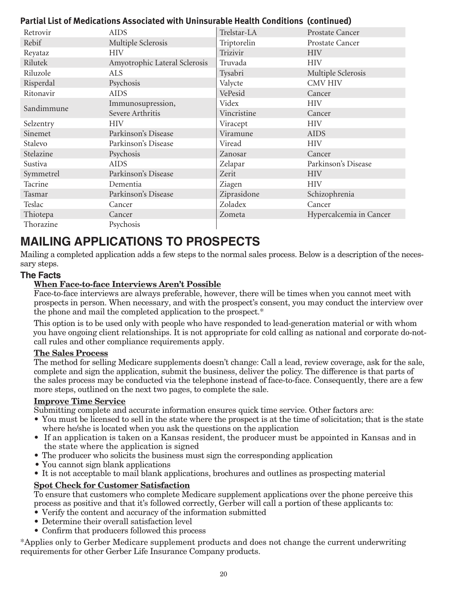### **Partial List of Medications Associated with Uninsurable Health Conditions (continued)**

| Retrovir   | <b>AIDS</b>                   | Trelstar-LA | Prostate Cancer         |
|------------|-------------------------------|-------------|-------------------------|
| Rebif      | Multiple Sclerosis            | Triptorelin | Prostate Cancer         |
| Reyataz    | <b>HIV</b>                    | Trizivir    | <b>HIV</b>              |
| Rilutek    | Amyotrophic Lateral Sclerosis | Truvada     | <b>HIV</b>              |
| Riluzole   | <b>ALS</b>                    | Tysabri     | Multiple Sclerosis      |
| Risperdal  | Psychosis                     | Valycte     | <b>CMV HIV</b>          |
| Ritonavir  | <b>AIDS</b>                   | VePesid     | Cancer                  |
| Sandimmune | Immunosupression,             | Videx       | <b>HIV</b>              |
|            | Severe Arthritis              | Vincristine | Cancer                  |
| Selzentry  | <b>HIV</b>                    | Viracept    | <b>HIV</b>              |
| Sinemet    | Parkinson's Disease           | Viramune    | <b>AIDS</b>             |
| Stalevo    | Parkinson's Disease           | Viread      | <b>HIV</b>              |
| Stelazine  | Psychosis                     | Zanosar     | Cancer                  |
| Sustiva    | <b>AIDS</b>                   | Zelapar     | Parkinson's Disease     |
| Symmetrel  | Parkinson's Disease           | Zerit       | <b>HIV</b>              |
| Tacrine    | Dementia                      | Ziagen      | <b>HIV</b>              |
| Tasmar     | Parkinson's Disease           | Ziprasidone | Schizophrenia           |
| Teslac     | Cancer                        | Zoladex     | Cancer                  |
| Thiotepa   | Cancer                        | Zometa      | Hypercalcemia in Cancer |
| Thorazine  | Psychosis                     |             |                         |

# **MAILING APPLICATIONS TO PROSPECTS**

Mailing a completed application adds a few steps to the normal sales process. Below is a description of the necessary steps.

#### **The Facts**

#### When Face-to-face Interviews Aren't Possible

 Face-to-face interviews are always preferable, however, there will be times when you cannot meet with prospects in person. When necessary, and with the prospect's consent, you may conduct the interview over the phone and mail the completed application to the prospect.\*

 This option is to be used only with people who have responded to lead-generation material or with whom you have ongoing client relationships. It is not appropriate for cold calling as national and corporate do-not- call rules and other compliance requirements apply.

#### The Sales Process

 The method for selling Medicare supplements doesn't change: Call a lead, review coverage, ask for the sale, complete and sign the application, submit the business, deliver the policy. The difference is that parts of the sales process may be conducted via the telephone instead of face-to-face. Consequently, there are a few more steps, outlined on the next two pages, to complete the sale.

#### Improve Time Service

 Submitting complete and accurate information ensures quick time service. Other factors are:

- You must be licensed to sell in the state where the prospect is at the time of solicitation; that is the state where he/she is located when you ask the questions on the application
- If an application is taken on a Kansas resident, the producer must be appointed in Kansas and in the state where the application is signed
- The producer who solicits the business must sign the corresponding application
- You cannot sign blank applications
- It is not acceptable to mail blank applications, brochures and outlines as prospecting material

#### Spot Check for Customer Satisfaction

 To ensure that customers who complete Medicare supplement applications over the phone perceive this process as positive and that it's followed correctly, Gerber will call a portion of these applicants to:

- Verify the content and accuracy of the information submitted
- • Determine their overall satisfaction level
- Confirm that producers followed this process

\*Applies only to Gerber Medicare supplement products and does not change the current underwriting requirements for other Gerber Life Insurance Company products.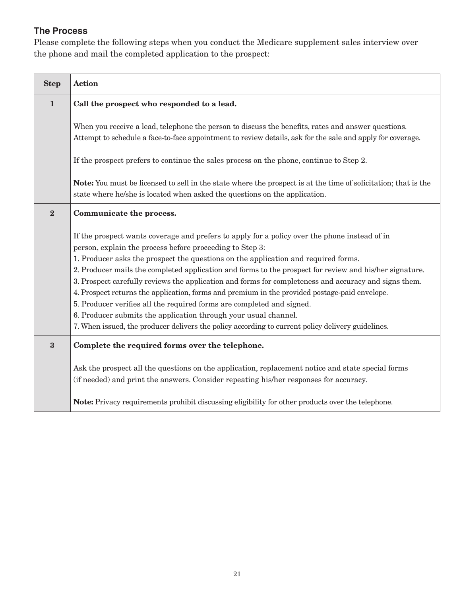# **The Process**

Please complete the following steps when you conduct the Medicare supplement sales interview over the phone and mail the completed application to the prospect:

| <b>Step</b>    | <b>Action</b>                                                                                                                                                                                                                                                                                                                                                                                                                                                                                                                                                                                                                                                                                                                                                                                                         |
|----------------|-----------------------------------------------------------------------------------------------------------------------------------------------------------------------------------------------------------------------------------------------------------------------------------------------------------------------------------------------------------------------------------------------------------------------------------------------------------------------------------------------------------------------------------------------------------------------------------------------------------------------------------------------------------------------------------------------------------------------------------------------------------------------------------------------------------------------|
| $\mathbf{1}$   | Call the prospect who responded to a lead.                                                                                                                                                                                                                                                                                                                                                                                                                                                                                                                                                                                                                                                                                                                                                                            |
|                | When you receive a lead, telephone the person to discuss the benefits, rates and answer questions.<br>Attempt to schedule a face-to-face appointment to review details, ask for the sale and apply for coverage.                                                                                                                                                                                                                                                                                                                                                                                                                                                                                                                                                                                                      |
|                | If the prospect prefers to continue the sales process on the phone, continue to Step 2.                                                                                                                                                                                                                                                                                                                                                                                                                                                                                                                                                                                                                                                                                                                               |
|                | <b>Note:</b> You must be licensed to sell in the state where the prospect is at the time of solicitation; that is the<br>state where he/she is located when asked the questions on the application.                                                                                                                                                                                                                                                                                                                                                                                                                                                                                                                                                                                                                   |
| $\overline{2}$ | Communicate the process.                                                                                                                                                                                                                                                                                                                                                                                                                                                                                                                                                                                                                                                                                                                                                                                              |
|                | If the prospect wants coverage and prefers to apply for a policy over the phone instead of in<br>person, explain the process before proceeding to Step 3:<br>1. Producer asks the prospect the questions on the application and required forms.<br>2. Producer mails the completed application and forms to the prospect for review and his/her signature.<br>3. Prospect carefully reviews the application and forms for completeness and accuracy and signs them.<br>4. Prospect returns the application, forms and premium in the provided postage-paid envelope.<br>5. Producer verifies all the required forms are completed and signed.<br>6. Producer submits the application through your usual channel.<br>7. When issued, the producer delivers the policy according to current policy delivery guidelines. |
| $\bf{3}$       | Complete the required forms over the telephone.                                                                                                                                                                                                                                                                                                                                                                                                                                                                                                                                                                                                                                                                                                                                                                       |
|                | Ask the prospect all the questions on the application, replacement notice and state special forms<br>(if needed) and print the answers. Consider repeating his/her responses for accuracy.                                                                                                                                                                                                                                                                                                                                                                                                                                                                                                                                                                                                                            |
|                | <b>Note:</b> Privacy requirements prohibit discussing eligibility for other products over the telephone.                                                                                                                                                                                                                                                                                                                                                                                                                                                                                                                                                                                                                                                                                                              |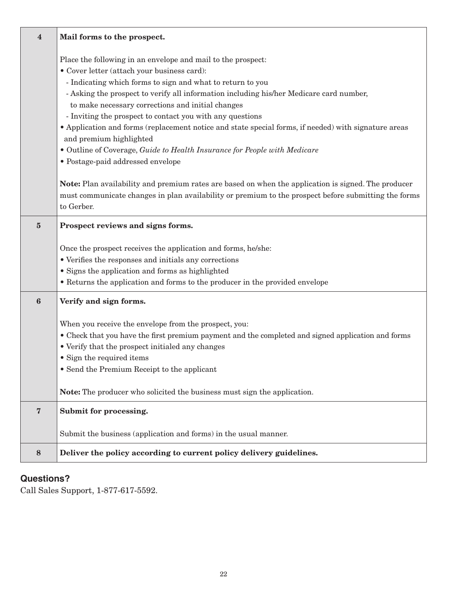| $\overline{\mathbf{4}}$ | Mail forms to the prospect.                                                                                                                                                                                                      |
|-------------------------|----------------------------------------------------------------------------------------------------------------------------------------------------------------------------------------------------------------------------------|
|                         | Place the following in an envelope and mail to the prospect:                                                                                                                                                                     |
|                         | • Cover letter (attach your business card):                                                                                                                                                                                      |
|                         | - Indicating which forms to sign and what to return to you                                                                                                                                                                       |
|                         | - Asking the prospect to verify all information including his/her Medicare card number,                                                                                                                                          |
|                         | to make necessary corrections and initial changes                                                                                                                                                                                |
|                         | - Inviting the prospect to contact you with any questions                                                                                                                                                                        |
|                         | • Application and forms (replacement notice and state special forms, if needed) with signature areas<br>and premium highlighted                                                                                                  |
|                         | · Outline of Coverage, Guide to Health Insurance for People with Medicare                                                                                                                                                        |
|                         | • Postage-paid addressed envelope                                                                                                                                                                                                |
|                         | <b>Note:</b> Plan availability and premium rates are based on when the application is signed. The producer<br>must communicate changes in plan availability or premium to the prospect before submitting the forms<br>to Gerber. |
| ${\bf 5}$               | Prospect reviews and signs forms.                                                                                                                                                                                                |
|                         |                                                                                                                                                                                                                                  |
|                         | Once the prospect receives the application and forms, he/she:<br>• Verifies the responses and initials any corrections                                                                                                           |
|                         | • Signs the application and forms as highlighted                                                                                                                                                                                 |
|                         | • Returns the application and forms to the producer in the provided envelope                                                                                                                                                     |
|                         |                                                                                                                                                                                                                                  |
| $\boldsymbol{6}$        | Verify and sign forms.                                                                                                                                                                                                           |
|                         | When you receive the envelope from the prospect, you:                                                                                                                                                                            |
|                         | • Check that you have the first premium payment and the completed and signed application and forms                                                                                                                               |
|                         | • Verify that the prospect initialed any changes                                                                                                                                                                                 |
|                         | • Sign the required items                                                                                                                                                                                                        |
|                         | • Send the Premium Receipt to the applicant                                                                                                                                                                                      |
|                         | <b>Note:</b> The producer who solicited the business must sign the application.                                                                                                                                                  |
| $\bf 7$                 | Submit for processing.                                                                                                                                                                                                           |
|                         | Submit the business (application and forms) in the usual manner.                                                                                                                                                                 |
| $\bf 8$                 | Deliver the policy according to current policy delivery guidelines.                                                                                                                                                              |

# **Questions?**

Call Sales Support, 1-877-617-5592.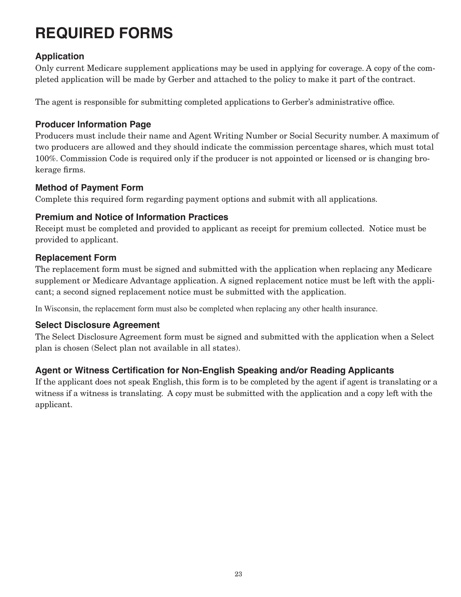# **REQUIRED FORMS**

# **Application**

Only current Medicare supplement applications may be used in applying for coverage. A copy of the completed application will be made by Gerber and attached to the policy to make it part of the contract.

The agent is responsible for submitting completed applications to Gerber's administrative office.

#### **Producer Information Page**

Producers must include their name and Agent Writing Number or Social Security number. A maximum of two producers are allowed and they should indicate the commission percentage shares, which must total 100%. Commission Code is required only if the producer is not appointed or licensed or is changing brokerage firms.

#### **Method of Payment Form**

Complete this required form regarding payment options and submit with all applications.

### **Premium and Notice of Information Practices**

Receipt must be completed and provided to applicant as receipt for premium collected. Notice must be provided to applicant.

### **Replacement Form**

The replacement form must be signed and submitted with the application when replacing any Medicare supplement or Medicare Advantage application. A signed replacement notice must be left with the applicant; a second signed replacement notice must be submitted with the application.

In Wisconsin, the replacement form must also be completed when replacing any other health insurance.

#### **Select Disclosure Agreement**

The Select Disclosure Agreement form must be signed and submitted with the application when a Select plan is chosen (Select plan not available in all states).

#### **Agent or Witness Certification for Non-English Speaking and/or Reading Applicants**

If the applicant does not speak English, this form is to be completed by the agent if agent is translating or a witness if a witness is translating. A copy must be submitted with the application and a copy left with the applicant.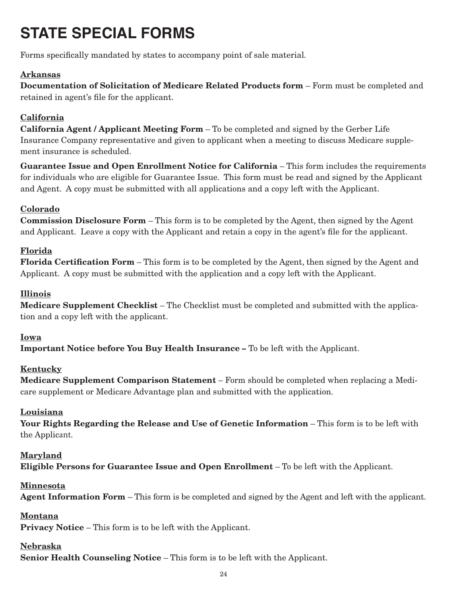# **STATE SPECIAL FORMS**

Forms specifically mandated by states to accompany point of sale material.

#### Arkansas

Documentation of Solicitation of Medicare Related Products form – Form must be completed and retained in agent's file for the applicant.

### California

California Agent / Applicant Meeting Form – To be completed and signed by the Gerber Life Insurance Company representative and given to applicant when a meeting to discuss Medicare supplement insurance is scheduled.

Guarantee Issue and Open Enrollment Notice for California – This form includes the requirements for individuals who are eligible for Guarantee Issue. This form must be read and signed by the Applicant and Agent. A copy must be submitted with all applications and a copy left with the Applicant.

### Colorado

Commission Disclosure Form – This form is to be completed by the Agent, then signed by the Agent and Applicant. Leave a copy with the Applicant and retain a copy in the agent's file for the applicant.

#### Florida

Florida Certification Form – This form is to be completed by the Agent, then signed by the Agent and Applicant. A copy must be submitted with the application and a copy left with the Applicant.

### Illinois

Medicare Supplement Checklist – The Checklist must be completed and submitted with the application and a copy left with the applicant.

#### Iowa

Important Notice before You Buy Health Insurance – To be left with the Applicant.

#### Kentucky

Medicare Supplement Comparison Statement – Form should be completed when replacing a Medicare supplement or Medicare Advantage plan and submitted with the application.

#### Louisiana

Your Rights Regarding the Release and Use of Genetic Information – This form is to be left with the Applicant.

#### Maryland

Eligible Persons for Guarantee Issue and Open Enrollment – To be left with the Applicant.

#### Minnesota

Agent Information Form – This form is be completed and signed by the Agent and left with the applicant.

#### Montana

Privacy Notice – This form is to be left with the Applicant.

#### Nebraska

Senior Health Counseling Notice – This form is to be left with the Applicant.